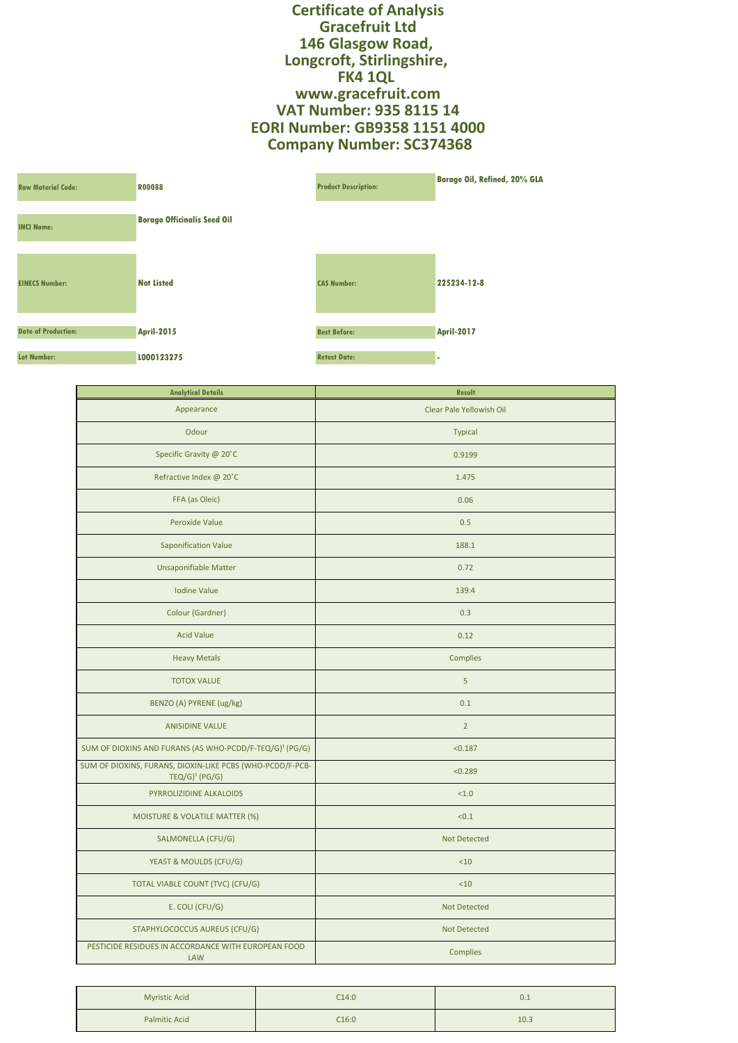**Certificate of Analysis Gracefruit Ltd 146 Glasgow Road, Longcroft, Stirlingshire, FK4 1QL www.gracefruit.com VAT Number: 935 8115 14 EORI Number: GB9358 1151 4000 Company Number: SC374368**

| <b>Raw Material Code:</b>  | <b>R00088</b>                      | <b>Product Description:</b> | <b>Borage Oil, Refined, 20% GLA</b> |
|----------------------------|------------------------------------|-----------------------------|-------------------------------------|
| <b>INCI Name:</b>          | <b>Borago Officinalis Seed Oil</b> |                             |                                     |
| <b>EINECS Number:</b>      | <b>Not Listed</b>                  | <b>CAS Number:</b>          | 225234-12-8                         |
| <b>Date of Production:</b> | <b>April-2015</b>                  | <b>Best Before:</b>         | <b>April-2017</b>                   |
| <b>Lot Number:</b>         | L000123275                         | <b>Retest Date:</b>         |                                     |

| <b>Analytical Details</b>                                                                | <b>Result</b>            |  |
|------------------------------------------------------------------------------------------|--------------------------|--|
| Appearance                                                                               | Clear Pale Yellowish Oil |  |
| Odour                                                                                    | <b>Typical</b>           |  |
| Specific Gravity @ 20°C                                                                  | 0.9199                   |  |
| Refractive Index @ 20°C                                                                  | 1.475                    |  |
| FFA (as Oleic)                                                                           | 0.06                     |  |
| Peroxide Value                                                                           | 0.5                      |  |
| <b>Saponification Value</b>                                                              | 188.1                    |  |
| <b>Unsaponifiable Matter</b>                                                             | 0.72                     |  |
| <b>Iodine Value</b>                                                                      | 139.4                    |  |
| Colour (Gardner)                                                                         | 0.3                      |  |
| <b>Acid Value</b>                                                                        | 0.12                     |  |
| <b>Heavy Metals</b>                                                                      | Complies                 |  |
| <b>TOTOX VALUE</b>                                                                       | 5                        |  |
| BENZO (A) PYRENE (ug/kg)                                                                 | 0.1                      |  |
| <b>ANISIDINE VALUE</b>                                                                   | $\overline{2}$           |  |
| SUM OF DIOXINS AND FURANS (AS WHO-PCDD/F-TEQ/G) <sup>1</sup> (PG/G)                      | < 0.187                  |  |
| SUM OF DIOXINS, FURANS, DIOXIN-LIKE PCBS (WHO-PCDD/F-PCB-<br>$TEQ/G$ <sup>1</sup> (PG/G) | < 0.289                  |  |
| PYRROLIZIDINE ALKALOIDS                                                                  | < 1.0                    |  |
| <b>MOISTURE &amp; VOLATILE MATTER (%)</b>                                                | < 0.1                    |  |
| SALMONELLA (CFU/G)                                                                       | <b>Not Detected</b>      |  |
| YEAST & MOULDS (CFU/G)                                                                   | < 10                     |  |
| TOTAL VIABLE COUNT (TVC) (CFU/G)                                                         | $<$ 10                   |  |
| E. COLI (CFU/G)                                                                          | Not Detected             |  |
| STAPHYLOCOCCUS AUREUS (CFU/G)                                                            | <b>Not Detected</b>      |  |
| PESTICIDE RESIDUES IN ACCORDANCE WITH EUROPEAN FOOD<br><b>LAW</b>                        | <b>Complies</b>          |  |

| <b>Myristic Acid</b> | C14:0 | 0.1  |
|----------------------|-------|------|
| <b>Palmitic Acid</b> | C16:0 | 10.3 |